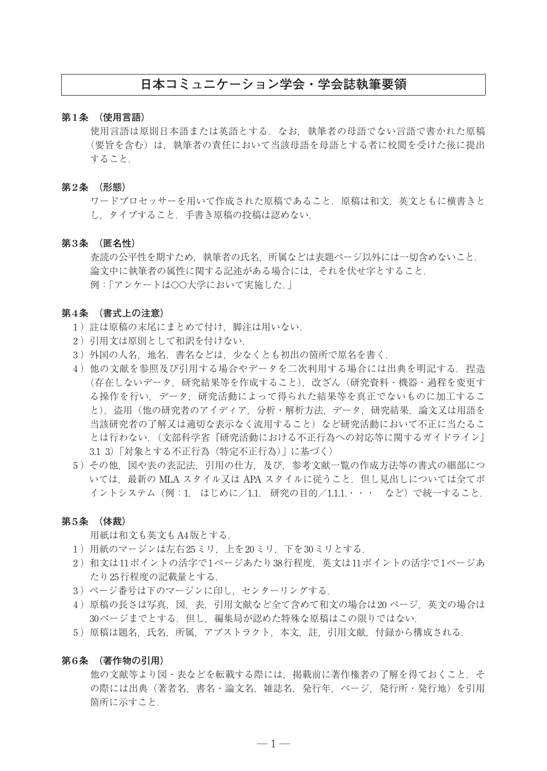# **日本コミュニケーション学会・学会誌執筆要領**

# **第1条 (使用言語)**

 使用言語は原則日本語または英語とする.なお,執筆者の母語でない言語で書かれた原稿 (要旨を含む)は,執筆者の責任において当該母語を母語とする者に校閲を受けた後に提出 すること.

#### **第2条 (形態)**

 ワードプロセッサーを用いて作成された原稿であること.原稿は和文,英文ともに横書きと し,タイプすること.手書き原稿の投稿は認めない.

#### **第3条 (匿名性)**

 査読の公平性を期すため,執筆者の氏名,所属などは表題ページ以外には一切含めないこと. 論文中に執筆者の属性に関する記述がある場合には,それを伏せ字とすること. 例:「アンケートは○○大学において実施した.」

# **第4条 (書式上の注意)**

- 1) 註は原稿の末尾にまとめて付け、脚注は用いない.
- 2)引用文は原則として和訳を付けない.
- 3 )外国の人名,地名,書名などは,少なくとも初出の箇所で原名を書く.
- 4)他の文献を参照及び引用する場合やデータを二次利用する場合には出典を明記する. 捏造 (存在しないデータ,研究結果等を作成すること),改ざん(研究資料・機器・過程を変更す る操作を行い,データ,研究活動によって得られた結果等を真正でないものに加工するこ と),盗用(他の研究者のアイディア,分析・解析方法,データ,研究結果,論文又は用語を 当該研究者の了解又は適切な表示なく流用すること)など研究活動において不正に当たるこ とは行わない.(文部科学省『研究活動における不正行為への対応等に関するガイドライン』 3.1 3)「対象とする不正行為(特定不正行為)」に基づく)
- 5 )その他,図や表の表記法,引用の仕方,及び,参考文献一覧の作成方法等の書式の細部につ いては、最新の MLA スタイル又は APA スタイルに従うこと. 但し見出しについては全てポ イントシステム(例:1. はじめに/1.1. 研究の目的/1.1.1. ・・・ など)で統一すること.

#### **第5条 (体裁)**

用紙は和文も英文もA4版とする.

- 1 )用紙のマージンは左右25ミリ,上を20ミリ,下を30ミリとする.
- 2)和文は11ポイントの活字で1ページあたり38行程度,英文は11ポイントの活字で1ページあ たり25行程度の記載量とする.
- 3) ページ番号は下のマージンに印し、センターリングする.
- 4)原稿の長さは写真,図,表,引用文献など全て含めて和文の場合は20ページ,英文の場合は 30ページまでとする. 但し, 編集局が認めた特殊な原稿はこの限りではない.
- 5)原稿は題名,氏名,所属,アブストラクト,本文,註,引用文献,付録から構成される.

### **第6条 (著作物の引用)**

他の文献等より図・表などを転載する際には、掲載前に著作権者の了解を得ておくこと. そ の際には出典(著者名,書名・論文名,雑誌名,発行年,ページ,発行所・発行地)を引用 箇所に示すこと.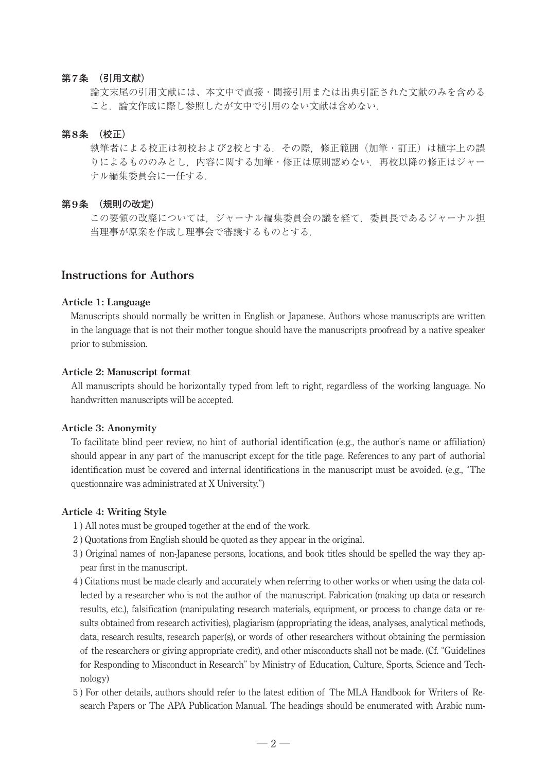# **第7条 (引用文献)**

 論文末尾の引用文献には、本文中で直接・間接引用または出典引証された文献のみを含める こと. 論文作成に際し参照したが文中で引用のない文献は含めない.

# **第8条 (校正)**

 執筆者による校正は初校および2校とする.その際,修正範囲(加筆・訂正)は植字上の誤 りによるもののみとし,内容に関する加筆・修正は原則認めない.再校以降の修正はジャー ナル編集委員会に一任する.

### **第9条 (規則の改定)**

 この要領の改廃については,ジャーナル編集委員会の議を経て,委員長であるジャーナル担 当理事が原案を作成し理事会で審議するものとする.

# **Instructions for Authors**

### **Article 1: Language**

 Manuscripts should normally be written in English or Japanese. Authors whose manuscripts are written in the language that is not their mother tongue should have the manuscripts proofread by a native speaker prior to submission.

### **Article 2: Manuscript format**

 All manuscripts should be horizontally typed from left to right, regardless of the working language. No handwritten manuscripts will be accepted.

### **Article 3: Anonymity**

 To facilitate blind peer review, no hint of authorial identification (e.g., the author's name or affiliation) should appear in any part of the manuscript except for the title page. References to any part of authorial identification must be covered and internal identifications in the manuscript must be avoided. (e.g., "The questionnaire was administrated at X University.")

# **Article 4: Writing Style**

- 1 ) All notes must be grouped together at the end of the work.
- 2 ) Quotations from English should be quoted as they appear in the original.
- 3 ) Original names of non-Japanese persons, locations, and book titles should be spelled the way they appear first in the manuscript.
- 4 ) Citations must be made clearly and accurately when referring to other works or when using the data collected by a researcher who is not the author of the manuscript. Fabrication (making up data or research results, etc.), falsification (manipulating research materials, equipment, or process to change data or results obtained from research activities), plagiarism (appropriating the ideas, analyses, analytical methods, data, research results, research paper(s), or words of other researchers without obtaining the permission of the researchers or giving appropriate credit), and other misconducts shall not be made. (Cf. "Guidelines for Responding to Misconduct in Research" by Ministry of Education, Culture, Sports, Science and Technology)
- 5 ) For other details, authors should refer to the latest edition of The MLA Handbook for Writers of Research Papers or The APA Publication Manual. The headings should be enumerated with Arabic num-